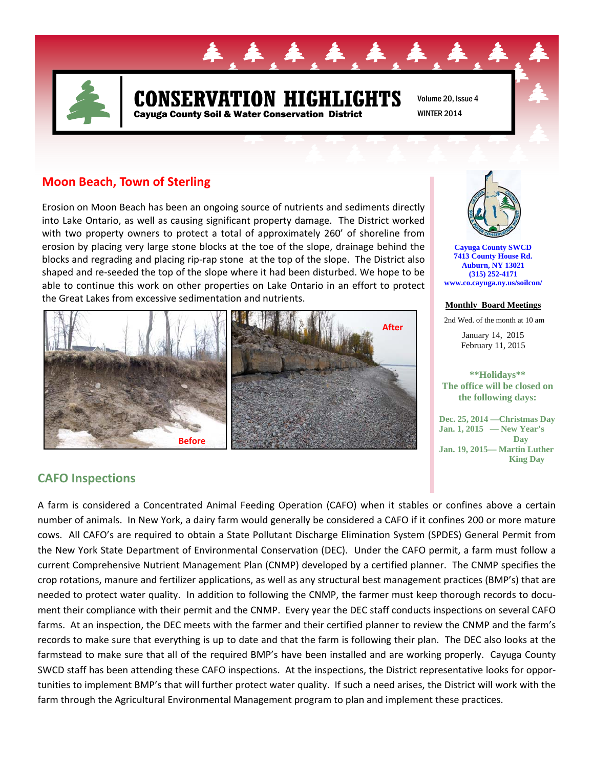

# **N HIGHLIGHTS** Cayuga County Soil & Water Conservation District

Volume 20, Issue 4 WINTER 2014

#### **Moon Beach, Town of Sterling**

Erosion on Moon Beach has been an ongoing source of nutrients and sediments directly into Lake Ontario, as well as causing significant property damage. The District worked with two property owners to protect a total of approximately 260' of shoreline from erosion by placing very large stone blocks at the toe of the slope, drainage behind the blocks and regrading and placing rip‐rap stone at the top of the slope. The District also shaped and re‐seeded the top of the slope where it had been disturbed. We hope to be able to continue this work on other properties on Lake Ontario in an effort to protect the Great Lakes from excessive sedimentation and nutrients.





**Cayuga County SWCD 7413 County House Rd. Auburn, NY 13021 (315) 252-4171 www.co.cayuga.ny.us/soilcon/**

#### **Monthly Board Meetings**

2nd Wed. of the month at 10 am

January 14, 2015 February 11, 2015

**\*\*Holidays\*\* The office will be closed on the following days:** 

**Dec. 25, 2014 —Christmas Day Jan. 1, 2015 — New Year's Day Jan. 19, 2015— Martin Luther King Day** 

## **CAFO Inspections**

A farm is considered a Concentrated Animal Feeding Operation (CAFO) when it stables or confines above a certain number of animals. In New York, a dairy farm would generally be considered a CAFO if it confines 200 or more mature cows. All CAFO's are required to obtain a State Pollutant Discharge Elimination System (SPDES) General Permit from the New York State Department of Environmental Conservation (DEC). Under the CAFO permit, a farm must follow a current Comprehensive Nutrient Management Plan (CNMP) developed by a certified planner. The CNMP specifies the crop rotations, manure and fertilizer applications, as well as any structural best management practices (BMP's) that are needed to protect water quality. In addition to following the CNMP, the farmer must keep thorough records to document their compliance with their permit and the CNMP. Every year the DEC staff conducts inspections on several CAFO farms. At an inspection, the DEC meets with the farmer and their certified planner to review the CNMP and the farm's records to make sure that everything is up to date and that the farm is following their plan. The DEC also looks at the farmstead to make sure that all of the required BMP's have been installed and are working properly. Cayuga County SWCD staff has been attending these CAFO inspections. At the inspections, the District representative looks for oppor‐ tunities to implement BMP's that will further protect water quality. If such a need arises, the District will work with the farm through the Agricultural Environmental Management program to plan and implement these practices.